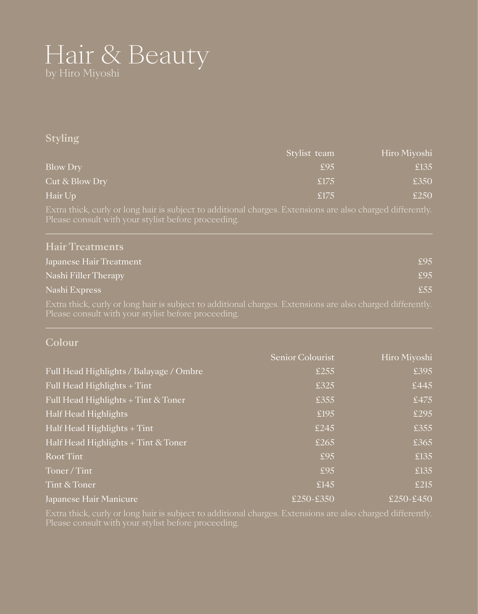# Hair & Beauty by Hiro Miyoshi

#### Styling

|                 | Stylist team   | Hiro Miyoshi |
|-----------------|----------------|--------------|
| <b>Blow Dry</b> | \$95           | £135         |
| Cut & Blow Dry  | £175           | £350         |
| Hair Up         | $\epsilon$ 175 | £250         |

Extra thick, curly or long hair is subject to additional charges. Extensions are also charged differently.

| <b>Hair Treatments</b>                                                                                                                                            |     |
|-------------------------------------------------------------------------------------------------------------------------------------------------------------------|-----|
| Japanese Hair Treatment                                                                                                                                           | £95 |
| Nashi Filler Therapy                                                                                                                                              | £95 |
| Nashi Express                                                                                                                                                     | £55 |
| Extra thick, curly or long hair is subject to additional charges. Extensions are also charged differently.<br>Please consult with your stylist before proceeding. |     |

#### Colour

|                                         | Senior Colourist | Hiro Miyoshi                    |
|-----------------------------------------|------------------|---------------------------------|
| Full Head Highlights / Balayage / Ombre | £255             | £395                            |
| Full Head Highlights $+$ Tint           | £325             | £445                            |
| Full Head Highlights + Tint & Toner     | £355             | £475                            |
| Half Head Highlights                    | £195             | £295                            |
| Half Head Highlights $+$ Tint           | £245             | £355                            |
| Half Head Highlights $+$ Tint & Toner   | £265             | £365                            |
| Root Tint                               | £95              | £135                            |
| Toner/Tint                              | £95              | £135                            |
| Tint & Toner                            | £145             | £215                            |
| Japanese Hair Manicure                  | £250-£350        | $\overline{\cancel{250}}$ -£450 |

Extra thick, curly or long hair is subject to additional charges. Extensions are also charged differently.